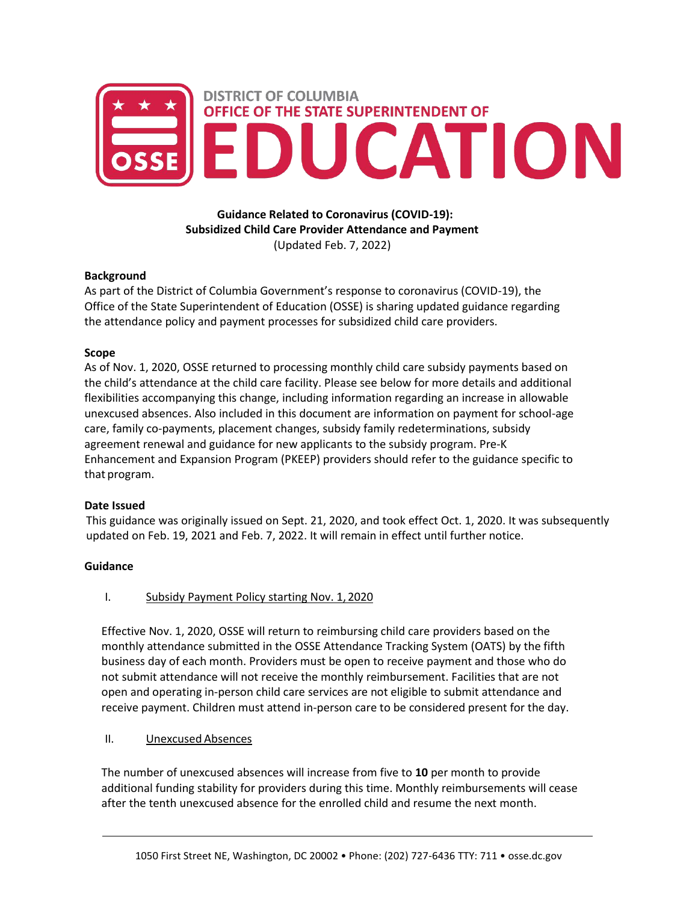

**Guidance Related to Coronavirus (COVID-19): Subsidized Child Care Provider Attendance and Payment**  (Updated Feb. 7, 2022)

### **Background**

As part of the District of Columbia Government's response to coronavirus (COVID-19), the Office of the State Superintendent of Education (OSSE) is sharing updated guidance regarding the attendance policy and payment processes for subsidized child care providers.

#### **Scope**

As of Nov. 1, 2020, OSSE returned to processing monthly child care subsidy payments based on the child's attendance at the child care facility. Please see below for more details and additional flexibilities accompanying this change, including information regarding an increase in allowable unexcused absences. Also included in this document are information on payment for school-age care, family co-payments, placement changes, subsidy family redeterminations, subsidy agreement renewal and guidance for new applicants to the subsidy program. Pre-K Enhancement and Expansion Program (PKEEP) providers should refer to the guidance specific to that program.

### **Date Issued**

This guidance was originally issued on Sept. 21, 2020, and took effect Oct. 1, 2020. It was subsequently updated on Feb. 19, 2021 and Feb. 7, 2022. It will remain in effect until further notice.

### **Guidance**

I. Subsidy Payment Policy starting Nov. 1, 2020

Effective Nov. 1, 2020, OSSE will return to reimbursing child care providers based on the monthly attendance submitted in the OSSE Attendance Tracking System (OATS) by the fifth business day of each month. Providers must be open to receive payment and those who do not submit attendance will not receive the monthly reimbursement. Facilities that are not open and operating in-person child care services are not eligible to submit attendance and receive payment. Children must attend in-person care to be considered present for the day.

### II. Unexcused Absences

The number of unexcused absences will increase from five to **10** per month to provide additional funding stability for providers during this time. Monthly reimbursements will cease after the tenth unexcused absence for the enrolled child and resume the next month.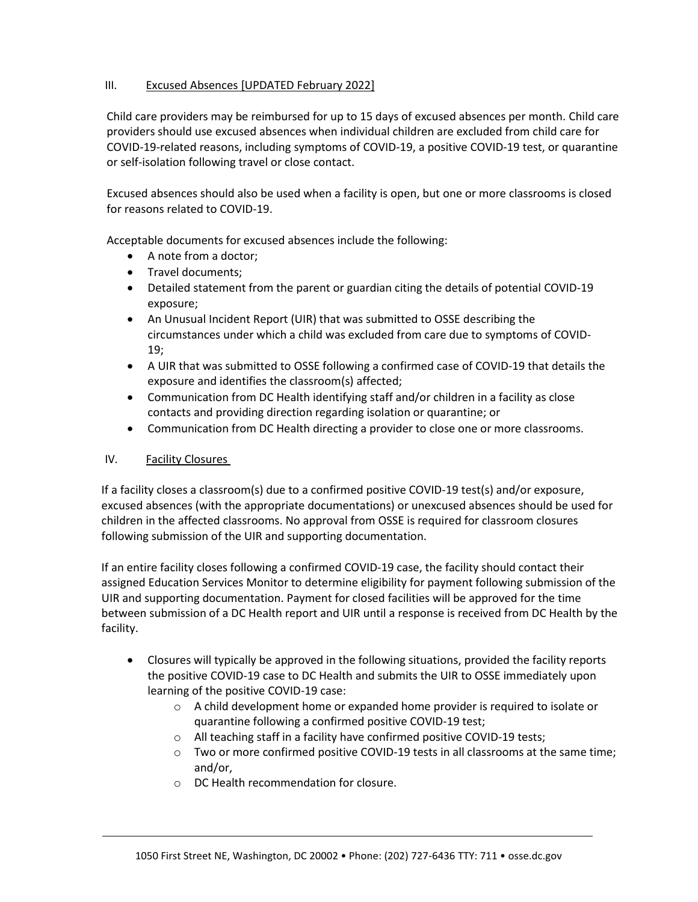### III. Excused Absences [UPDATED February 2022]

Child care providers may be reimbursed for up to 15 days of excused absences per month. Child care providers should use excused absences when individual children are excluded from child care for COVID-19-related reasons, including symptoms of COVID-19, a positive COVID-19 test, or quarantine or self-isolation following travel or close contact.

Excused absences should also be used when a facility is open, but one or more classrooms is closed for reasons related to COVID-19.

Acceptable documents for excused absences include the following:

- A note from a doctor;
- Travel documents;
- Detailed statement from the parent or guardian citing the details of potential COVID-19 exposure;
- An Unusual Incident Report (UIR) that was submitted to OSSE describing the circumstances under which a child was excluded from care due to symptoms of COVID-19;
- A UIR that was submitted to OSSE following a confirmed case of COVID-19 that details the exposure and identifies the classroom(s) affected;
- Communication from DC Health identifying staff and/or children in a facility as close contacts and providing direction regarding isolation or quarantine; or
- Communication from DC Health directing a provider to close one or more classrooms.

## IV. Facility Closures

If a facility closes a classroom(s) due to a confirmed positive COVID-19 test(s) and/or exposure, excused absences (with the appropriate documentations) or unexcused absences should be used for children in the affected classrooms. No approval from OSSE is required for classroom closures following submission of the UIR and supporting documentation.

If an entire facility closes following a confirmed COVID-19 case, the facility should contact their assigned Education Services Monitor to determine eligibility for payment following submission of the UIR and supporting documentation. Payment for closed facilities will be approved for the time between submission of a DC Health report and UIR until a response is received from DC Health by the facility.

- Closures will typically be approved in the following situations, provided the facility reports the positive COVID-19 case to DC Health and submits the UIR to OSSE immediately upon learning of the positive COVID-19 case:
	- o A child development home or expanded home provider is required to isolate or quarantine following a confirmed positive COVID-19 test;
	- o All teaching staff in a facility have confirmed positive COVID-19 tests;
	- $\circ$  Two or more confirmed positive COVID-19 tests in all classrooms at the same time; and/or,
	- o DC Health recommendation for closure.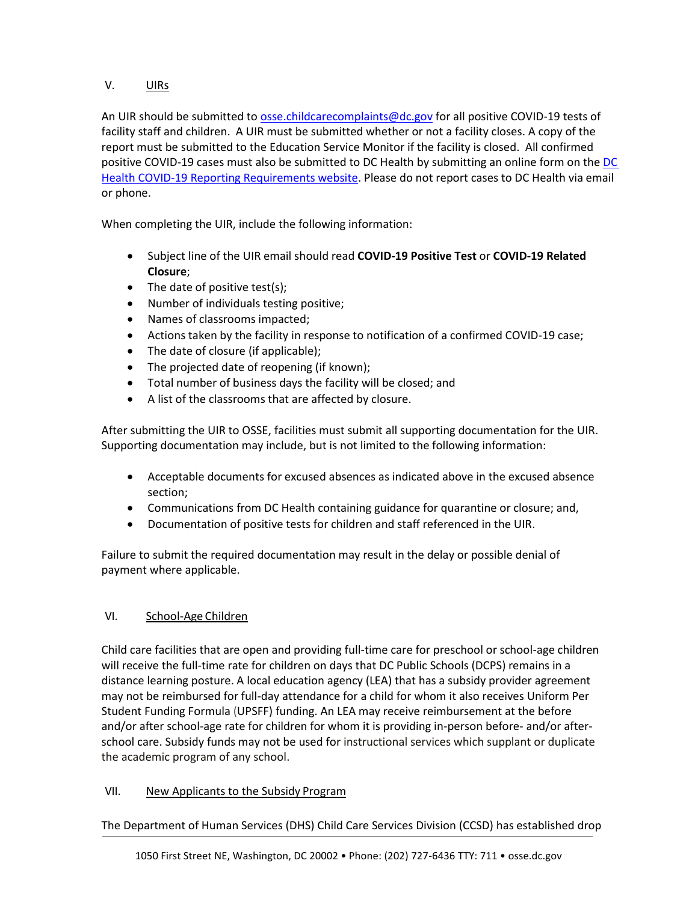# V. UIRs

An UIR should be submitted to [osse.childcarecomplaints@dc.gov](mailto:osse.childcarecomplaints@dc.gov) for all positive COVID-19 tests of facility staff and children. A UIR must be submitted whether or not a facility closes. A copy of the report must be submitted to the Education Service Monitor if the facility is closed. All confirmed positive COVID-19 cases must also be submitted to [DC](https://dchealth.dc.gov/page/covid-19-reporting-requirements) Health by submitting an online form on the DC [Health COVID-19 Reporting Requirements website.](https://dchealth.dc.gov/page/covid-19-reporting-requirements) Please do not report cases to DC Health via email or phone.

When completing the UIR, include the following information:

- Subject line of the UIR email should read **COVID-19 Positive Test** or **COVID-19 Related Closure**;
- The date of positive test(s);
- Number of individuals testing positive;
- Names of classrooms impacted;
- Actions taken by the facility in response to notification of a confirmed COVID-19 case;
- The date of closure (if applicable);
- The projected date of reopening (if known);
- Total number of business days the facility will be closed; and
- A list of the classrooms that are affected by closure.

After submitting the UIR to OSSE, facilities must submit all supporting documentation for the UIR. Supporting documentation may include, but is not limited to the following information:

- Acceptable documents for excused absences as indicated above in the excused absence section;
- Communications from DC Health containing guidance for quarantine or closure; and,
- Documentation of positive tests for children and staff referenced in the UIR.

Failure to submit the required documentation may result in the delay or possible denial of payment where applicable.

# VI. School-Age Children

Child care facilities that are open and providing full-time care for preschool or school-age children will receive the full-time rate for children on days that DC Public Schools (DCPS) remains in a distance learning posture. A local education agency (LEA) that has a subsidy provider agreement may not be reimbursed for full-day attendance for a child for whom it also receives Uniform Per Student Funding Formula (UPSFF) funding. An LEA may receive reimbursement at the before and/or after school-age rate for children for whom it is providing in-person before- and/or afterschool care. Subsidy funds may not be used for instructional services which supplant or duplicate the academic program of any school.

## VII. New Applicants to the Subsidy Program

The Department of Human Services (DHS) Child Care Services Division (CCSD) has established drop